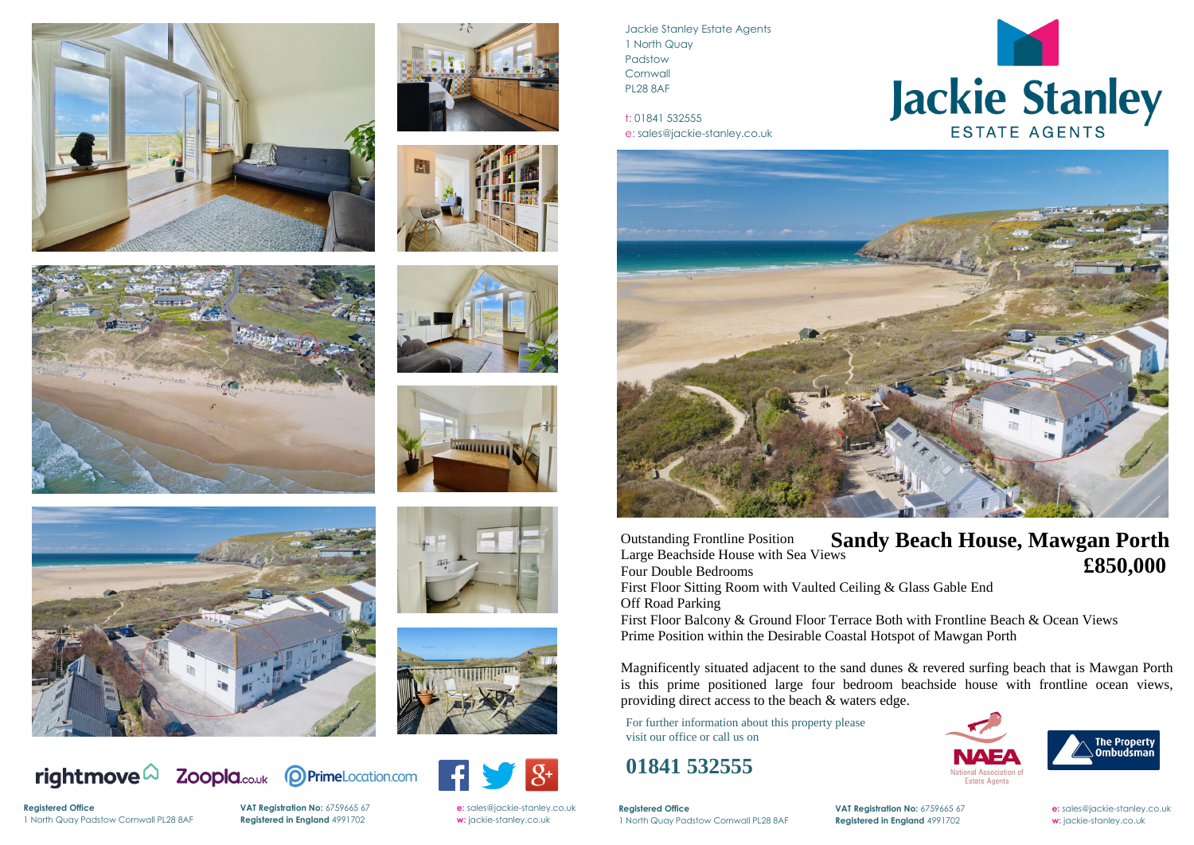

















rightmove $\Omega$ 





Jackie Stanley Estate Agents 1 North Quay Padstow **Cornwall** PL28 8AF

t: 01841 532555 e: sales@jackie-stanley.co.uk



**Registered Office VAT Registration No:** 6759665 67 **e:** [sales@jackie-stanley.co.uk](mailto:sales@jackie-stanley.co.uk)



# Jackie Stanley

1 North Quay Padstow Cornwall PL28 8AF **Registered in England** 4991702 **w:** jackie-stanley.co.uk

For further information about this property please visit our office or call us on

### **01841 532555**

Outstanding Frontline Position Large Beachside House with Sea Views Four Double Bedrooms First Floor Sitting Room with Vaulted Ceiling & Glass Gable End Off Road Parking

**Registered Office** 1 North Quay Padstow Cornwall PL28 8AF **Registered in England** 4991702 **w:** jackie-stanley.co.uk

**VAT Registration No:** 6759665 67 **e:** [sales@jackie-stanley.co.uk](mailto:sales@jackie-stanley.co.uk)

First Floor Balcony & Ground Floor Terrace Both with Frontline Beach & Ocean Views Prime Position within the Desirable Coastal Hotspot of Mawgan Porth

Magnificently situated adjacent to the sand dunes & revered surfing beach that is Mawgan Porth is this prime positioned large four bedroom beachside house with frontline ocean views, providing direct access to the beach & waters edge.

## **Sandy Beach House, Mawgan Porth £850,000**